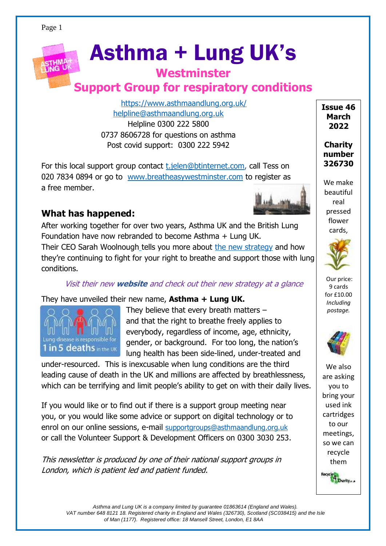# Asthma + Lung UK's

#### **Westminster**

# **Support Group for respiratory conditions**

<https://www.asthmaandlung.org.uk/> [helpline@asthmaandlung.org.uk](mailto:helpline@asthmaandlung.org.uk) Helpline 0300 222 5800 0737 8606728 for questions on asthma Post covid support: 0300 222 5942

For this local support group contact [t.jelen@btinternet.com,](mailto:t.jelen@btinternet.com) call Tess on 020 7834 0894 or go to [www.breatheasywestminster.com](http://www.breatheasywestminster.com/) to register as a free member.



**Charity number 326730**

**Issue 46 March 2022**

We make beautiful real pressed flower cards,



Our price: 9 cards for £10.00 *Including postage.*



We also are asking you to bring your used ink cartridges to our meetings, so we can recycle them Recycle  $\frac{4}{1}$  Charity  $\ldots$ 

## **What has happened:**

After working together for over two years, Asthma UK and the British Lung Foundation have now rebranded to become Asthma + Lung UK.

Their CEO Sarah Woolnough tells you more about [the new strategy](https://www.respiratoryfutures.org.uk/news/asthma-plus-lung-uk-launch/) and how they're continuing to fight for your right to breathe and support those with lung conditions.

#### Visit their new **[website](https://www.pcrs-uk.org/civicrm/mailing/url?u=33284&qid=2500039)** and check out their ne[w strategy](https://www.pcrs-uk.org/civicrm/mailing/url?u=33285&qid=2500039) at a glance

#### They have unveiled their new name, **Asthma + Lung UK.**



They believe that every breath matters – and that the right to breathe freely applies to everybody, regardless of income, age, ethnicity, gender, or background. For too long, the nation's lung health has been side-lined, under-treated and

under-resourced. This is inexcusable when lung conditions are the third leading cause of death in the UK and millions are affected by breathlessness, which can be terrifying and limit people's ability to get on with their daily lives.

If you would like or to find out if there is a support group meeting near you, or you would like some advice or support on digital technology or to enrol on our online sessions, e-mail [supportgroups@asthmaandlung.org.uk](mailto:supportgroups@asthmaandlung.org.uk) or call the Volunteer Support & Development Officers on 0300 3030 253.

This newsletter is produced by one of their national support groups in London, which is patient led and patient funded.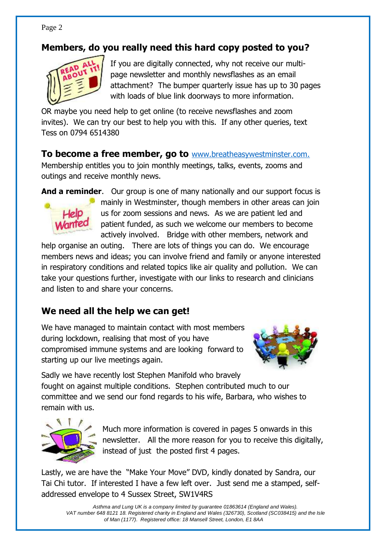#### **Members, do you really need this hard copy posted to you?**



If you are digitally connected, why not receive our multipage newsletter and monthly newsflashes as an email attachment? The bumper quarterly issue has up to 30 pages with loads of blue link doorways to more information.

OR maybe you need help to get online (to receive newsflashes and zoom invites). We can try our best to help you with this. If any other queries, text Tess on 0794 6514380

**To become a free member, go to** [www.breatheasywestminster.com.](http://www.breatheasywestminster.com/) Membership entitles you to join monthly meetings, talks, events, zooms and outings and receive monthly news.

**And a reminder**. Our group is one of many nationally and our support focus is



mainly in Westminster, though members in other areas can join us for zoom sessions and news. As we are patient led and patient funded, as such we welcome our members to become actively involved. Bridge with other members, network and

help organise an outing. There are lots of things you can do. We encourage members news and ideas; you can involve friend and family or anyone interested in respiratory conditions and related topics like air quality and pollution. We can take your questions further, investigate with our links to research and clinicians and listen to and share your concerns.

#### **We need all the help we can get!**

We have managed to maintain contact with most members during lockdown, realising that most of you have compromised immune systems and are looking forward to starting up our live meetings again.



Sadly we have recently lost Stephen Manifold who bravely

fought on against multiple conditions. Stephen contributed much to our committee and we send our fond regards to his wife, Barbara, who wishes to remain with us.



Much more information is covered in pages 5 onwards in this newsletter. All the more reason for you to receive this digitally, instead of just the posted first 4 pages.

Lastly, we are have the "Make Your Move" DVD, kindly donated by Sandra, our Tai Chi tutor. If interested I have a few left over. Just send me a stamped, selfaddressed envelope to 4 Sussex Street, SW1V4RS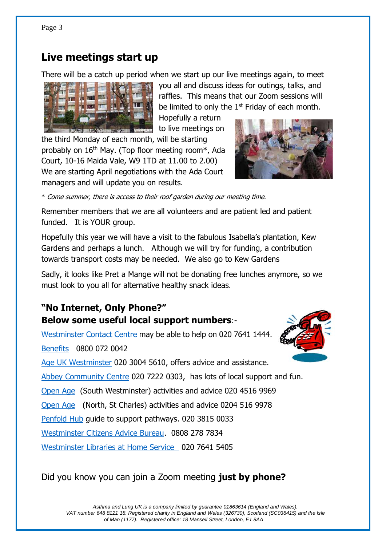#### **Live meetings start up**

There will be a catch up period when we start up our live meetings again, to meet



you all and discuss ideas for outings, talks, and raffles. This means that our Zoom sessions will be limited to only the 1<sup>st</sup> Friday of each month.

Hopefully a return to live meetings on

the third Monday of each month, will be starting probably on 16th May. (Top floor meeting room\*, Ada Court, 10-16 Maida Vale, W9 1TD at 11.00 to 2.00) We are starting April negotiations with the Ada Court managers and will update you on results.

\* Come summer, there is access to their roof garden during our meeting time.

Remember members that we are all volunteers and are patient led and patient funded. It is YOUR group.

Hopefully this year we will have a visit to the fabulous Isabella's plantation, Kew Gardens and perhaps a lunch. Although we will try for funding, a contribution towards transport costs may be needed. We also go to Kew Gardens

Sadly, it looks like Pret a Mange will not be donating free lunches anymore, so we must look to you all for alternative healthy snack ideas.

#### **"No Internet, Only Phone?" Below some useful local support numbers**:-

[Westminster Contact Centre](https://www.westminster.gov.uk/about-council/contact-us) may be able to help on 020 7641 1444.

[Benefits](https://www.westminster.gov.uk/benefits) 0800 072 0042

Age UK [Westminster](https://www.ageuk.org.uk/westminster/) 020 3004 5610, offers advice and assistance.

Abbey [Community Centre](https://www.theabbeycentre.org.uk/community/) [020 7222 0303,](tel:02072220303) has lots of local support and fun.

[Open Age](https://www.openage.org.uk/south-westminster) (South Westminster) activities and advice 020 4516 9969

[Open Age](https://www.openage.org.uk/north-westminster) (North, St Charles) activities and advice 0204 516 9978

[Penfold Hub](https://www.nhg.org.uk/penfold/) guide to support pathways. 020 3815 0033

[Westminster Citizens Advice Bureau.](https://www.westminstercab.org.uk/) 0808 278 7834

[Westminster Libraries](https://us17.campaign-archive.com/?u=f3f2a91134cf0f85a3b2dbb34&id=37fafe4538) at Home Service 020 7641 5405

#### Did you know you can join a Zoom meeting **just by phone?**



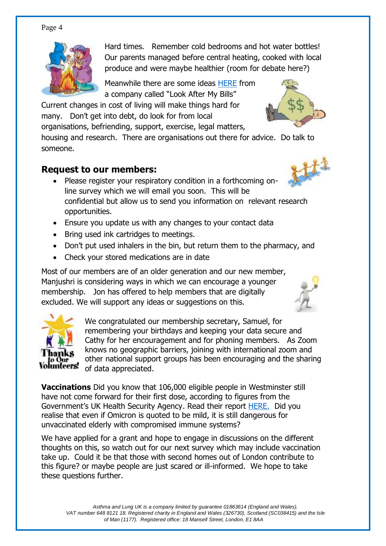

Hard times. Remember cold bedrooms and hot water bottles! Our parents managed before central heating, cooked with local produce and were maybe healthier (room for debate here?)

Meanwhile there are some ideas [HERE](https://email.act.lookaftermybills.com/index.php?action=social&chash=0141a8aedb1b53970fac7c81dac79fbe.9097&s=3b95a3341e3e3c9712402cf8ef50109a) from a company called "Look After My Bills"

Current changes in cost of living will make things hard for many. Don't get into debt, do look for from local

organisations, befriending, support, exercise, legal matters,

housing and research. There are organisations out there for advice. Do talk to someone.

#### **Request to our members:**

- Please register your respiratory condition in a forthcoming online survey which we will email you soon. This will be confidential but allow us to send you information on relevant research opportunities.
- Ensure you update us with any changes to your contact data
- Bring used ink cartridges to meetings.
- Don't put used inhalers in the bin, but return them to the pharmacy, and
- Check your stored medications are in date

Most of our members are of an older generation and our new member, Manjushri is considering ways in which we can encourage a younger membership. Jon has offered to help members that are digitally excluded. We will support any ideas or suggestions on this.



We congratulated our membership secretary, Samuel, for remembering your birthdays and keeping your data secure and Cathy for her encouragement and for phoning members. As Zoom knows no geographic barriers, joining with international zoom and other national support groups has been encouraging and the sharing of data appreciated.

**Vaccinations** Did you know that 106,000 eligible people in Westminster still have not come forward for their first dose, according to figures from the Government's UK Health Security Agency. Read their report [HERE.](https://inews.co.uk/news/westminster-lowest-vaccine-rate-uk-region-government-backyard-1404638) Did you realise that even if Omicron is quoted to be mild, it is still dangerous for unvaccinated elderly with compromised immune systems?

We have applied for a grant and hope to engage in discussions on the different thoughts on this, so watch out for our next survey which may include vaccination take up. Could it be that those with second homes out of London contribute to this figure? or maybe people are just scared or ill-informed. We hope to take these questions further.



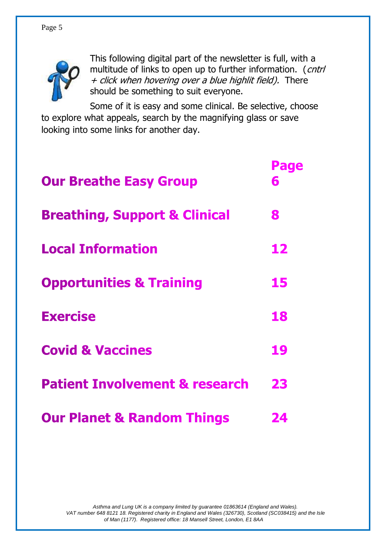

This following digital part of the newsletter is full, with a multitude of links to open up to further information. (*cntrl* + click when hovering over a blue highlit field). There should be something to suit everyone.

Some of it is easy and some clinical. Be selective, choose to explore what appeals, search by the magnifying glass or save looking into some links for another day.

| <b>Our Breathe Easy Group</b>             | Page<br>6 |  |  |
|-------------------------------------------|-----------|--|--|
| <b>Breathing, Support &amp; Clinical</b>  | 8         |  |  |
| <b>Local Information</b>                  | 12        |  |  |
| <b>Opportunities &amp; Training</b>       | 15        |  |  |
| <b>Exercise</b>                           | 18        |  |  |
| <b>Covid &amp; Vaccines</b>               | 19        |  |  |
| <b>Patient Involvement &amp; research</b> | 23        |  |  |
| <b>Our Planet &amp; Random Things</b>     | 24        |  |  |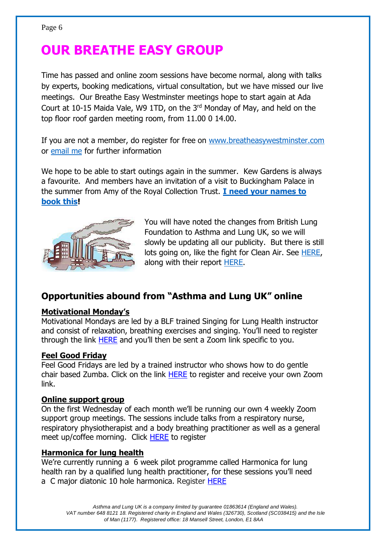# **OUR BREATHE EASY GROUP**

Time has passed and online zoom sessions have become normal, along with talks by experts, booking medications, virtual consultation, but we have missed our live meetings. Our Breathe Easy Westminster meetings hope to start again at Ada Court at 10-15 Maida Vale, W9 1TD, on the 3rd Monday of May, and held on the top floor roof garden meeting room, from 11.00 0 14.00.

If you are not a member, do register for free on [www.breatheasywestminster.com](http://www.breatheasywestminster.com/) or [email me](mailto:t.jelen@btinternet.com) for further information

We hope to be able to start outings again in the summer. Kew Gardens is always a favourite. And members have an invitation of a visit to Buckingham Palace in the summer from Amy of the Royal Collection Trust. **[I need your names to](mailto:t.jelen@btinternet.com)  [book this!](mailto:t.jelen@btinternet.com)**



You will have noted the changes from British Lung Foundation to Asthma and Lung UK, so we will slowly be updating all our publicity. But there is still lots going on, like the fight for Clean Air. See [HERE,](https://www.blf.org.uk/take-action/clean-air) along with their report **HERE**.

#### **Opportunities abound from "Asthma and Lung UK" online**

#### **Motivational Monday's**

Motivational Mondays are led by a BLF trained Singing for Lung Health instructor and consist of relaxation, breathing exercises and singing. You'll need to register through the link [HERE](https://auk-blf.zoom.us/meeting/register/tJEqdu-uqDouHtTF77LV3W7-HO4clCqk8B_T?_x_zm_rtaid=FCXFfUBUSIik8oWw46D0zw.1644331458516.bd09da91466435519ee2caac12caf2b8&_x_zm_rhtaid=185) and you'll then be sent a Zoom link specific to you.

#### **Feel Good Friday**

Feel Good Fridays are led by a trained instructor who shows how to do gentle chair based Zumba. Click on the link [HERE](https://auk-blf.zoom.us/meeting/register/tJAld-iqpj0pEtX6l3OEL_fzU81grVAj0OqR) to register and receive your own Zoom link.

#### **Online support group**

On the first Wednesday of each month we'll be running our own 4 weekly Zoom support group meetings. The sessions include talks from a respiratory nurse, respiratory physiotherapist and a body breathing practitioner as well as a general meet up/coffee morning. Click **HERE** to register

#### **Harmonica for lung health**

We're currently running a 6 week pilot programme called Harmonica for lung health ran by a qualified lung health practitioner, for these sessions you'll need a C major diatonic 10 hole harmonica. Register [HERE](https://www.blf.org.uk/support-for-you/breathe-easy/harmonica-for-lung-health)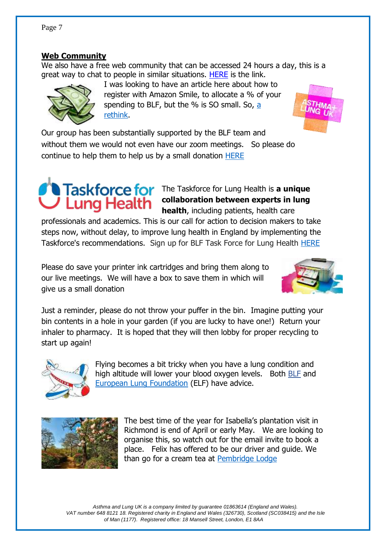#### **Web Community**

We also have a free web community that can be accessed 24 hours a day, this is a great way to chat to people in similar situations. [HERE](https://www.blf.org.uk/support-for-you/web-community) is the link.

> I was looking to have an article here about how to register with Amazon Smile, to allocate a % of your spending to BLF, but the  $%$  is SO small. So, a [rethink.](file:///C:/Users/Owner/Documents/Rehab%20&%20breatheasy/CHIMP%20newsletters/Amazon%20may%20seem%20like%20Santa%20but%20it)

Our group has been substantially supported by the BLF team and without them we would not even have our zoom meetings. So please do continue to help them to help us by a small donation [HERE](https://action.asthmaandlung.org.uk/page/99141/donate/1)

# **Taskforce for** The Taskforce for Lung Health is a unique

**collaboration between experts in lung health**, including patients, health care

professionals and academics. This is our call for action to decision makers to take steps now, without delay, to improve lung health in England by implementing the Taskforce's recommendations. Sign up for BLF Task Force for Lung Health [HERE](https://hello.blf.org.uk/page/54527/subscribe/1?_ga=2.148835191.1940711418.1599553078-861334300.1581352237)

Please do save your printer ink cartridges and bring them along to our live meetings. We will have a box to save them in which will give us a small donation

Just a reminder, please do not throw your puffer in the bin. Imagine putting your bin contents in a hole in your garden (if you are lucky to have one!) Return your inhaler to pharmacy. It is hoped that they will then lobby for proper recycling to start up again!

> Flying becomes a bit tricky when you have a lung condition and high altitude will lower your blood oxygen levels. Both [BLF](https://www.blf.org.uk/support-for-you/going-on-holiday) and [European Lung Foundation](https://europeanlung.org/en/information-hub/air-travel/resources/) (ELF) have advice.

> > The best time of the year for Isabella's plantation visit in Richmond is end of April or early May. We are looking to organise this, so watch out for the email invite to book a place. Felix has offered to be our driver and guide. We than go for a cream tea at [Pembridge Lodge](https://www.pembroke-lodge.co.uk/)









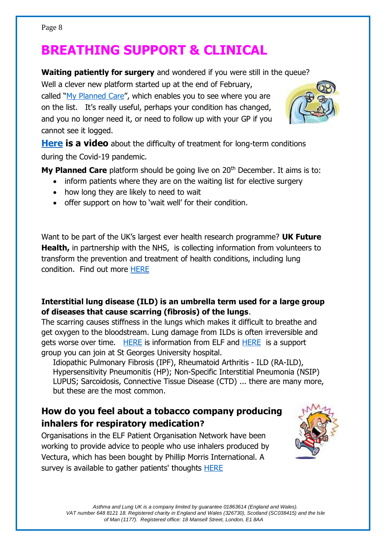# **BREATHING SUPPORT & CLINICAL**

**Waiting patiently for surgery** and wondered if you were still in the queue?

Well a clever new platform started up at the end of February, called "[My Planned Care](https://www.myplannedcare.nhs.uk/)", which enables you to see where you are on the list. It's really useful, perhaps your condition has changed, and you no longer need it, or need to follow up with your GP if you cannot see it logged.



**[Here](https://sg-project-assets.s3.eu-west-2.amazonaws.com/10461/videos/AbbVie+-+The+impact+of+Covid+on+Long-Term+Conditions.mp4) is a video** about the difficulty of treatment for long-term conditions during the Covid-19 pandemic.

**My Planned Care** platform should be going live on 20<sup>th</sup> December. It aims is to:

- inform patients where they are on the waiting list for elective surgery
- how long they are likely to need to wait
- offer support on how to 'wait well' for their condition.

Want to be part of the UK's largest ever health research programme? **UK Future Health,** in partnership with the NHS, is collecting information from volunteers to transform the prevention and treatment of health conditions, including lung condition. Find out more [HERE](https://ourfuturehealth.org.uk/)

#### **Interstitial lung disease (ILD) is an umbrella term used for a large group of diseases that cause scarring (fibrosis) of the lungs**.

The scarring causes stiffness in the lungs which makes it difficult to breathe and get oxygen to the bloodstream. Lung damage from ILDs is often irreversible and gets worse over time. [HERE](https://europeanlung.org/en/information-hub/lung-conditions/interstitial-lung-disease/) is information from ELF and [HERE](http://www.ildgroupstgeorges.com/) is a support group you can join at St Georges University hospital.

Idiopathic Pulmonary Fibrosis (IPF), Rheumatoid Arthritis - ILD (RA-ILD), Hypersensitivity Pneumonitis (HP); Non-Specific Interstitial Pneumonia (NSIP) LUPUS; Sarcoidosis, Connective Tissue Disease (CTD) ... there are many more, but these are the most common.

#### **How do you feel about a tobacco company producing inhalers for respiratory medication?**

Organisations in the ELF Patient Organisation Network have been working to provide advice to people who use inhalers produced by Vectura, which has been bought by Phillip Morris International. A survey is available to gather patients' thoughts [HERE](https://europeanlung.org/en/news-and-blog/how-do-you-feel-about-a-tobacco-company-producing-medication-for-lung-health/)

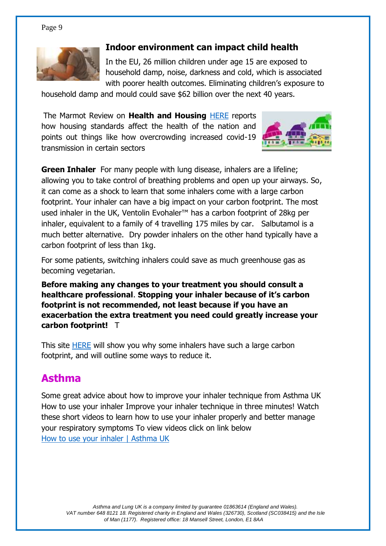

#### **[Indoor environment can impact child health](https://www.rand.org/randeurope/research/projects/indoor-environment-impacts-on-child-health.html)**

In the EU, 26 million children under age 15 are exposed to household damp, noise, darkness and cold, which is associated with poorer health outcomes. Eliminating children's exposure to

household damp and mould could save \$62 billion over the next 40 years.

The Marmot Review on **Health and Housing** [HERE](https://www.instituteofhealthequity.org/about-our-work/latest-updates-from-the-institute/build-back-fairer) reports how housing standards affect the health of the nation and points out things like how overcrowding increased covid-19 transmission in certain sectors



**Green Inhaler** For many people with lung disease, inhalers are a lifeline; allowing you to take control of breathing problems and open up your airways. So, it can come as a shock to learn that some inhalers come with a large carbon footprint. Your inhaler can have a big impact on your carbon footprint. The most used inhaler in the UK, Ventolin Evohaler™ has a carbon footprint of 28kg per inhaler, equivalent to a family of 4 travelling 175 miles by car. Salbutamol is a much better alternative. Dry powder inhalers on the other hand typically have a carbon footprint of less than 1kg.

For some patients, switching inhalers could save as much greenhouse gas as becoming vegetarian.

**Before making any changes to your treatment you should consult a healthcare professional**. **Stopping your inhaler because of it's carbon footprint is not recommended, not least because if you have an exacerbation the extra treatment you need could greatly increase your carbon footprint!** T

This site [HERE](https://greeninhaler.org/) will show you why some inhalers have such a large carbon footprint, and will outline some ways to reduce it.

## **Asthma**

Some great advice about how to improve your inhaler technique from Asthma UK How to use your inhaler Improve your inhaler technique in three minutes! Watch these short videos to learn how to use your inhaler properly and better manage your respiratory symptoms To view videos click on link below [How to use your inhaler | Asthma UK](https://www.asthma.org.uk/advice/inhaler-videos/)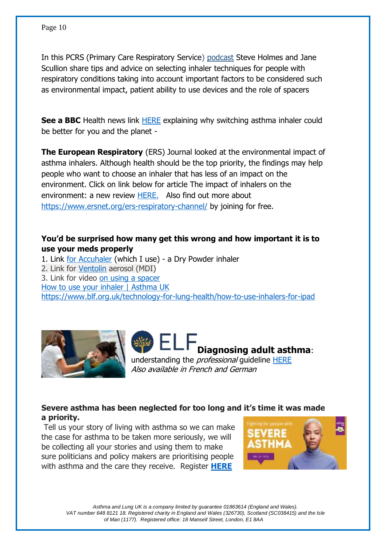In this PCRS (Primary Care Respiratory Service) [podcast](https://www.pcrs-uk.org/civicrm/mailing/url?u=33380&qid=2501113) Steve Holmes and Jane Scullion share tips and advice on selecting inhaler techniques for people with respiratory conditions taking into account important factors to be considered such as environmental impact, patient ability to use devices and the role of spacers

**See a BBC** Health news link [HERE](https://www.bbc.com/news/health-59997297) explaining why switching asthma inhaler could be better for you and the planet -

**The European Respiratory** (ERS) Journal looked at the environmental impact of asthma inhalers. Although health should be the top priority, the findings may help people who want to choose an inhaler that has less of an impact on the environment. Click on link below for article The impact of inhalers on the environment: a new review [HERE.](https://europeanlung.org/en/news-and-blog/the-impact-of-inhalers-on-the-environment-a-new-review/) Also find out more about <https://www.ersnet.org/ers-respiratory-channel/> by joining for free.

#### **You'd be surprised how many get this wrong and how important it is to use your meds properly**

1. Link [for Accuhaler](https://www.asthma.org.uk/advice/inhaler-videos/accuhaler/) (which I use) - a Dry Powder inhaler 2. Link for [Ventolin](https://www.asthma.org.uk/advice/inhaler-videos/pmdi/) aerosol (MDI) 3. Link for video [on using a spacer](https://www.asthma.org.uk/advice/inhaler-videos/tidal-breathing/)  [How to use your inhaler | Asthma UK](file:///C:/Users/Owner/Documents/Rehab%20&%20breatheasy/CHIMP%20newsletters/How%20to%20use%20your%20inhaler%20|%20Asthma%20UK)  <https://www.blf.org.uk/technology-for-lung-health/how-to-use-inhalers-for-ipad>





Also available in French and German

#### **Severe asthma has been neglected for too long and it's time it was made a priority.**

Tell us your story of living with asthma so we can make the case for asthma to be taken more seriously, we will be collecting all your stories and using them to make sure politicians and policy makers are prioritising people with asthma and the care they receive. Register **[HERE](https://action.asthma.org.uk/page/94552/data/1)**

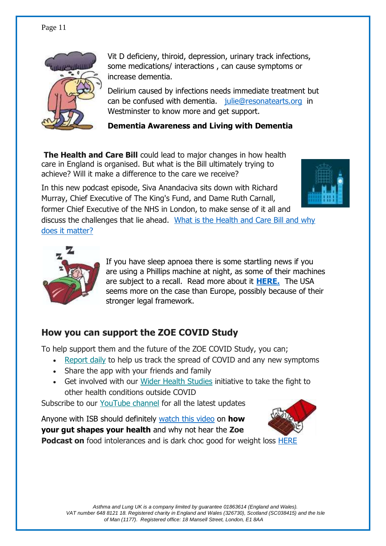

Vit D deficieny, thiroid, depression, urinary track infections, some medications/ interactions , can cause symptoms or increase dementia.

Delirium caused by infections needs immediate treatment but can be confused with dementia. [julie@resonatearts.org](mailto:julie@resonatearts.org) in Westminster to know more and get support.

#### **Dementia Awareness and Living with Dementia**

**The Health and Care Bill** could lead to major changes in how health care in England is organised. But what is the Bill ultimately trying to achieve? Will it make a difference to the care we receive?

In this new podcast episode, Siva Anandaciva sits down with Richard Murray, Chief Executive of The King's Fund, and Dame Ruth Carnall,



former Chief Executive of the NHS in London, to make sense of it all and discuss the challenges that lie ahead. [What is the Health and Care Bill and why](https://www.kingsfund.org.uk/audio-video/podcast/what-health-and-care-bill-why-does-it-matter?utm_source=direct&utm_medium=email&utm_campaign=12842515_MKPUB_podcast+episode+H%26C+Bill+2021-12-01&utm_content=podcast_button)  [does it matter?](https://www.kingsfund.org.uk/audio-video/podcast/what-health-and-care-bill-why-does-it-matter?utm_source=direct&utm_medium=email&utm_campaign=12842515_MKPUB_podcast+episode+H%26C+Bill+2021-12-01&utm_content=podcast_button) 



If you have sleep apnoea there is some startling news if you are using a Phillips machine at night, as some of their machines are subject to a recall. Read more about it **[HERE.](https://www.fda.gov/medical-devices/safety-communications/certain-philips-respironics-ventilators-bipap-and-cpap-machines-recalled-due-potential-health-risks)** The USA seems more on the case than Europe, possibly because of their stronger legal framework.

#### **How you can support the ZOE COVID Study**

To help support them and the future of the ZOE COVID Study, you can;

- [Report daily](https://joinzoe.us13.list-manage.com/track/click?u=48d605e2453cb0ad3892e077d&id=956bca96ff&e=863b631d55) to help us track the spread of COVID and any new symptoms
- Share the app with your friends and family
- Get involved with our [Wider Health Studies](https://joinzoe.us13.list-manage.com/track/click?u=48d605e2453cb0ad3892e077d&id=6e3d252c5f&e=863b631d55) initiative to take the fight to other health conditions outside COVID

Subscribe to our [YouTube channel](https://joinzoe.us13.list-manage.com/track/click?u=48d605e2453cb0ad3892e077d&id=131452b76b&e=863b631d55) for all the latest updates

Anyone with ISB should definitely [watch this video](https://www.youtube.com/watch?v=ve88R0jeJ64) on **how your gut shapes your health** and why not hear the **Zoe Podcast on** food intolerances and is dark choc good for weight loss [HERE](https://us20.campaign-archive.com/?u=5fecb1448587ece6b37c89c98&id=e642ec9047&e=28bd2aad20)

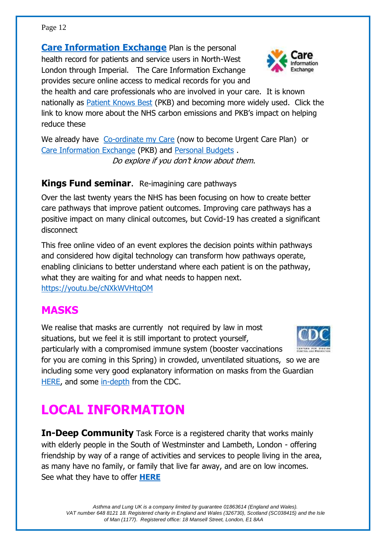**[Care Information Exchange](https://www.careinformationexchange-nwl.nhs.uk/)** Plan is the personal health record for patients and service users in North-West London through Imperial. The Care Information Exchange provides secure online access to medical records for you and

the health and care professionals who are involved in your care. It is known nationally as **Patient Knows Best** (PKB) and becoming more widely used. Click the link to know more about the NHS carbon emissions and PKB's impact on helping reduce these

We already have [Co-ordinate my Care](https://www.coordinatemycare.co.uk/) (now to become Urgent Care Plan) or [Care Information Exchange](https://www.careinformationexchange-nwl.nhs.uk/) (PKB) and [Personal Budgets](https://www.nhs.uk/conditions/social-care-and-support-guide/money-work-and-benefits/personal-budgets/) . Do explore if you don't know about them.

#### **Kings Fund seminar**. Re-imagining care pathways

Over the last twenty years the NHS has been focusing on how to create better care pathways that improve patient outcomes. Improving care pathways has a positive impact on many clinical outcomes, but Covid-19 has created a significant disconnect

This free online video of an event explores the decision points within pathways and considered how digital technology can transform how pathways operate, enabling clinicians to better understand where each patient is on the pathway, what they are waiting for and what needs to happen next. <https://youtu.be/cNXkWVHtqOM>

### **MASKS**

We realise that masks are currently not required by law in most situations, but we feel it is still important to protect yourself, particularly with a compromised immune system (booster vaccinations for you are coming in this Spring) in crowded, unventilated situations, so we are

including some very good explanatory information on masks from the Guardian [HERE,](https://www.theguardian.com/world/2022/jan/28/cloth-face-masks-ffp2-or-next-generation-alternatives-covid) and some [in-depth](https://www.cdc.gov/coronavirus/2019-ncov/prevent-getting-sick/about-face-coverings.html) from the CDC.

# **LOCAL INFORMATION**

**In-Deep Community** Task Force is a registered charity that works mainly with elderly people in the South of Westminster and Lambeth, London - offering friendship by way of a range of activities and services to people living in the area, as many have no family, or family that live far away, and are on low incomes. See what they have to offer **[HERE](http://in-deep.org.uk/)**



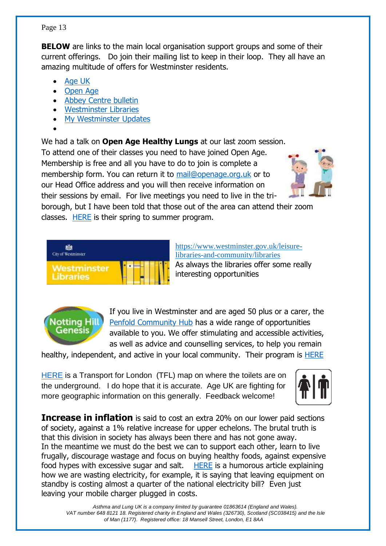#### *Asthma and Lung UK is a company limited by guarantee 01863614 (England and Wales). VAT number 648 8121 18. Registered charity in England and Wales (326730), Scotland (SC038415) and the Isle of Man (1177). Registered office: 18 Mansell Street, London, E1 8AA*

#### Page 13

**BELOW** are links to the main local organisation support groups and some of their current offerings. Do join their mailing list to keep in their loop. They all have an amazing multitude of offers for Westminster residents. Ĭ

- **[Age UK](https://mailchi.mp/f499120fe929/whats-on-this-week-issue-13762277?e=98ba7594e6)**
- [Open Age](•%09https:/www.openage.org.uk/sites/openage.org.uk/files/ACL%20Summer%20Term%20Programme.pdf)
- Abbey Centre bulletin
- [Westminster Libraries](https://www.westminster.gov.uk/leisure-libraries-and-community/libraries)
- [My Westminster Updates](•%09https:/mailchi.mp/westminster.gov.uk/18mar2022-149790?e=81dde5b4cc)
- •

We had a talk on **Open Age Healthy Lungs** at our last zoom session.

To attend one of their classes you need to have joined Open Age. Membership is free and all you have to do to join is complete a membership form. You can return it to [mail@openage.org.uk](mailto:mail@openage.org.uk) or to our Head Office address and you will then receive information on their sessions by email. For live meetings you need to live in the tri-



borough, but I have been told that those out of the area can attend their zoom classes. [HERE](https://mcusercontent.com/639172a06f0f84c7ab364a77e/files/e5ca02ab-b560-c282-992a-420c1261deae/Spring_Programme_Apr_Jul_2022.pdf) is their spring to summer program.

| City of Westminster |  |  |  |  |  |
|---------------------|--|--|--|--|--|
| /estminster         |  |  |  |  |  |
|                     |  |  |  |  |  |

https://www.westminster.gov.uk/leisurelibraries-and-community/libraries As always the libraries offer some really interesting opportunities



If you live in Westminster and are aged 50 plus or a carer, the [Penfold Community Hub](https://www.nhg.org.uk/penfold/) has a wide range of opportunities available to you. We offer stimulating and accessible activities, as well as advice and counselling services, to help you remain

healthy, independent, and active in your local community. Their program is [HERE](https://www.nhg.org.uk/media/21972/penfold-hub-programme-january-april-2022-final.pdf)

[HERE](https://content.tfl.gov.uk/toilets-map.pdf?dm_i=47X,7S2M3,U2XWMS,VS0SH,1) is a Transport for London (TFL) map on where the toilets are on the underground. I do hope that it is accurate. Age UK are fighting for more geographic information on this generally. Feedback welcome!



**Increase in inflation** is said to cost an extra 20% on our lower paid sections of society, against a 1% relative increase for upper echelons. The brutal truth is that this division in society has always been there and has not gone away. In the meantime we must do the best we can to support each other, learn to live frugally, discourage wastage and focus on buying healthy foods, against expensive food hypes with excessive sugar and salt. [HERE](https://www.theguardian.com/money/2022/mar/23/vampire-appliances-the-electronics-sucking-your-wallet-dry) is a humorous article explaining how we are wasting electricity, for example, it is saying that leaving equipment on standby is costing almost a quarter of the national electricity bill? Even just leaving your mobile charger plugged in costs.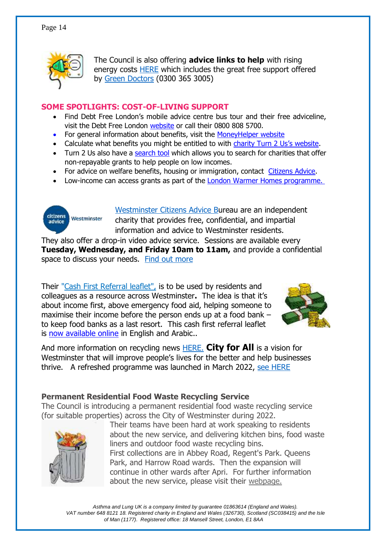

The Council is also offering **advice links to help** with rising energy costs [HERE](http://www.westminster.gov.uk/help-and-support-rising-energy-costs) which includes the great free support offered by [Green Doctors](https://london.greendoctors.org.uk/) (0300 365 3005)

#### **SOME SPOTLIGHTS: COST-OF-LIVING SUPPORT**

- Find Debt Free London's mobile advice centre bus tour and their free adviceline, visit the Debt Free London [website](http://email.london.gov.uk/_act/link.php?mId=AL85901421679720301288zzzzz6463a54f9f155c58b6e9ba3ac10558fb9e1eb9f637ee8a457efd2fbbc784cb2086&tId=70242682&subjId=200551) or call their 0800 808 5700.
- For general information about benefits, visit the [MoneyHelper website](http://email.london.gov.uk/_act/link.php?mId=AL85901421679720301288zzzzz6463a54f9f155c58b6e9ba3ac10558fb9e1eb9f637ee8a457efd2fbbc784cb2086&tId=70242685&subjId=200551)
- Calculate what benefits you might be entitled to with [charity Turn 2 Us's website](http://email.london.gov.uk/_act/link.php?mId=AL85901421679720301288zzzzz6463a54f9f155c58b6e9ba3ac10558fb9e1eb9f637ee8a457efd2fbbc784cb2086&tId=70242688&subjId=200551).
- Turn 2 Us also have a [search tool](http://email.london.gov.uk/_act/link.php?mId=AL85901421679720301288zzzzz6463a54f9f155c58b6e9ba3ac10558fb9e1eb9f637ee8a457efd2fbbc784cb2086&tId=70242691&subjId=200551) which allows you to search for charities that offer non-repayable grants to help people on low incomes.
- For advice on welfare benefits, housing or immigration, contact [Citizens Advice.](http://email.london.gov.uk/_act/link.php?mId=AL85901421679720301288zzzzz6463a54f9f155c58b6e9ba3ac10558fb9e1eb9f637ee8a457efd2fbbc784cb2086&tId=70242694&subjId=200551)
- Low-income can access grants as part of the **London Warmer Homes programme.**



[Westminster Citizens Advice Bu](https://www.westminstercab.org.uk/)reau are an independent charity that provides free, confidential, and impartial information and advice to Westminster residents.

They also offer a drop-in video advice service. Sessions are available every **Tuesday, Wednesday, and Friday 10am to 11am,** and provide a confidential space to discuss your needs. [Find out more](https://www.westminstercab.org.uk/drop-in-session/)

Their ["Cash First Referral leaflet",](https://uploads.strikinglycdn.com/files/a0336b34-4157-4a84-940c-938d7491a487/Westminster%20Leaflet.pdf?id=3718307) is to be used by residents and colleagues as a resource across Westminster**.** The idea is that it's about income first, above emergency food aid, helping someone to maximise their income before the person ends up at a food bank – to keep food banks as a last resort. This cash first referral leaflet is [now available online](http://www.foodaidnetwork.org.uk/cash-first-leaflets) in English and Arabic..



And more information on recycling news [HERE.](https://mailchi.mp/westminster/spring-2022-recycling-news?e=2d228f32a3) **City for All** is a vision for Westminster that will improve people's lives for the better and help businesses thrive. A refreshed programme was launched in March 2022, [see HERE](https://www.westminster.gov.uk/city-for-all/)

#### **Permanent Residential Food Waste Recycling Service**

The Council is introducing a permanent residential food waste recycling service (for suitable properties) across the City of Westminster during 2022.



Their teams have been hard at work speaking to residents about the new service, and delivering kitchen bins, food waste liners and outdoor food waste recycling bins. First collections are in Abbey Road, Regent's Park. Queens Park, and Harrow Road wards. Then the expansion will continue in other wards after Apri. For further information about the new service, please visit their [webpage.](https://westminster.us2.list-manage.com/track/click?u=4f011882a6ab6a9fef14d10c1&id=ac9eb8d438&e=2d228f32a3)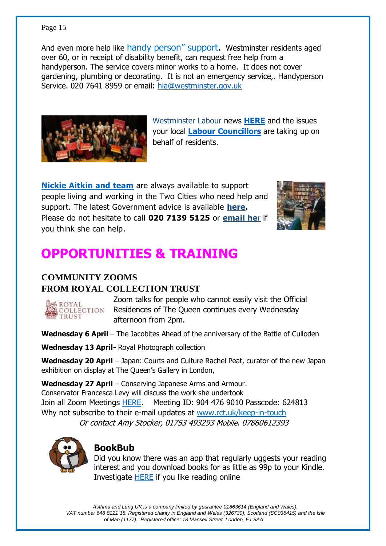And even more help like handy person" support**.** Westminster residents aged over 60, or in receipt of disability benefit, can request free help from a handyperson. The service covers minor works to a home. It does not cover gardening, plumbing or decorating. It is not an emergency service,. Handyperson Service. 020 7641 8959 or email: [hia@westminster.gov.uk](mailto:hia@westminster.gov.uk)



Westminster Labour news **[HERE](https://mailchi.mp/e16c9654811a/pimlico-soho-marylebone-west-end-labour-action-report-march-2022?e=a4a2885692)** and the issues your local **Labour [Councillors](https://www.westminsterlabour.org.uk/)** are taking up on behalf of residents.

**[Nickie Aitkin and team](https://news.nickieaiken.org.uk/54JR-IJUZ-FB5367B5EBD6029B2DUVS6416C01FE6399AEC6/cr.aspx)** are always available to support people living and working in the Two Cities who need help and support. The latest Government advice is available **here.**  Please do not hesitate to call **020 7139 5125** or **[email he](mailto:nickie.aiken.mp@parliament.uk)**r if you think she can help.



# **OPPORTUNITIES & TRAINING**

#### **COMMUNITY ZOOMS FROM ROYAL COLLECTION TRUST**

**SROYAL** 

Zoom talks for people who cannot easily visit the Official COLLECTION Residences of The Queen continues every Wednesday afternoon from 2pm.

Wednesday 6 April – The Jacobites Ahead of the anniversary of the Battle of Culloden

**Wednesday 13 April-** Royal Photograph collection

**Wednesday 20 April** – Japan: Courts and Culture Rachel Peat, curator of the new Japan exhibition on display at The Queen's Gallery in London,

**Wednesday 27 April** – Conserving Japanese Arms and Armour. Conservator Francesca Levy will discuss the work she undertook Join all Zoom Meetings [HERE.](https://zoom.us/j/9044769010?pwd=ZmwwdVZKdjFMVnNJWlMvbXRzOUpSdz09) Meeting ID: 904 476 9010 Passcode: 624813 Why not subscribe to their e-mail updates at [www.rct.uk/keep-in-touch](http://www.rct.uk/keep-in-touch) Or contact Amy Stocker, 01753 493293 Mobile. 07860612393



#### **BookBub**

Did you know there was an app that regularly uggests your reading interest and you download books for as little as 99p to your Kindle. Investigate [HERE](https://www.bookbub.com/welcome) if you like reading online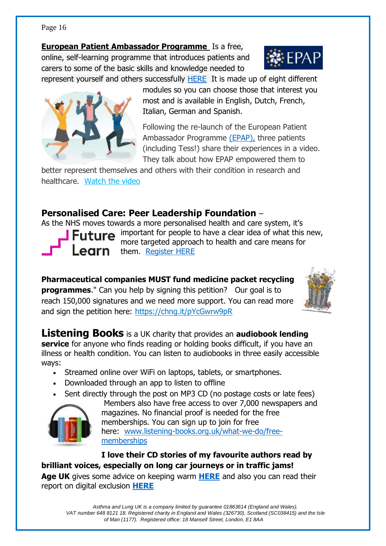**[European Patient Ambassador Programme](https://europeanlung.org/en/get-involved/european-patient-ambassador-programme-epap/)** Is a free, online, self-learning programme that introduces patients and carers to some of the basic skills and knowledge needed to represent yourself and others successfully [HERE](file:///C:/Users/Owner/Documents/Rehab%20&%20breatheasy/CHIMP%20newsletters/Invest%20in%20yourself%20this%20new%20year%20and%20do%20EPAP,%20our%20re-vamped%20online%20patient%20empowerment%20programme%20-%20European%20Lung%20Foundation) It is made up of eight different



modules so you can choose those that interest you most and is available in English, Dutch, French, Italian, German and Spanish.

Following the re-launch of the European Patient Ambassador Programme [\(EPAP\),](https://europeanlung.org/en/get-involved/european-patient-ambassador-programme-epap/) three patients (including Tess!) share their experiences in a video. They talk about how EPAP empowered them to

better represent themselves and others with their condition in research and healthcare. [Watch the video](https://europeanlung.us1.list-manage.com/track/click?u=2649f13feda7886f77954c054&id=9cc7f307b1&e=a7abbe482b)

#### **Personalised Care: Peer Leadership Foundation** –

As the NHS moves towards a more personalised health and care system, it's important for people to have a clear idea of what this new, more targeted approach to health and care means for

**earn** them. [Register HERE](https://www.futurelearn.com/info/courses/peer-leadership-foundation-step-1/0/steps/111995)

**Pharmaceutical companies MUST fund medicine packet recycling programmes.**" Can you help by signing this petition? Our goal is to reach 150,000 signatures and we need more support. You can read more and sign the petition here:<https://chng.it/pYcGwrw9pR>



**Listening Books** is a UK charity that provides an **audiobook lending service** for anyone who finds reading or holding books difficult, if you have an illness or health condition. You can listen to audiobooks in three easily accessible ways:

- Streamed online over WiFi on laptops, tablets, or smartphones.
- Downloaded through an app to listen to offline
- Sent directly through the post on MP3 CD (no postage costs or late fees)



Members also have free access to over 7,000 newspapers and magazines. No financial proof is needed for the free memberships. You can sign up to join for free here: [www.listening-books.org.uk/what-we-do/free](http://www.listening-books.org.uk/what-we-do/free-memberships)[memberships](http://www.listening-books.org.uk/what-we-do/free-memberships)

**I love their CD stories of my favourite authors read by brilliant voices, especially on long car journeys or in traffic jams!**

**Age UK** gives some advice on keeping warm **[HERE](https://www.ageuk.org.uk/globalassets/age-uk/documents/information-guides/ageukig27_winter_wrapped_up_inf.pdf)** and also you can read their report on digital exclusion **[HERE](https://www.ageuk.org.uk/london/about-us/news/articles/2022/mind-the-digital-gap-updates/)**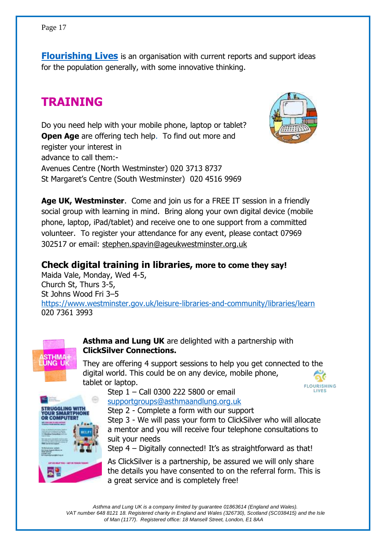**[Flourishing Lives](https://mailchi.mp/8bdb61dedb5a/flourishing-lives-newsletter-feb-6183310?e=3d1aafbc72)** is an organisation with current reports and support ideas for the population generally, with some innovative thinking.

## **TRAINING**

Do you need help with your mobile phone, laptop or tablet? **Open Age** are offering tech help. To find out more and register your interest in advance to call them:- Avenues Centre (North Westminster) 020 3713 8737 St Margaret's Centre (South Westminster) 020 4516 9969

**Age UK, Westminster**. Come and join us for a FREE IT session in a friendly social group with learning in mind. Bring along your own digital device (mobile phone, laptop, iPad/tablet) and receive one to one support from a committed volunteer. To register your attendance for any event, please contact 07969 302517 or email: [stephen.spavin@ageukwestminster.org.uk](mailto:stephen.spavin@ageukwestminster.org.uk)

**Check digital training in libraries, more to come they say!** Maida Vale, Monday, Wed 4-5, Church St, Thurs 3-5, St Johns Wood Fri 3–5 <https://www.westminster.gov.uk/leisure-libraries-and-community/libraries/learn> 020 7361 3993

> **Asthma and Lung UK** are delighted with a partnership with **ClickSilver Connections.**

They are offering 4 support sessions to help you get connected to the digital world. This could be on any device, mobile phone, tablet or laptop.

Step 1 – Call 0300 222 5800 or email [supportgroups@asthmaandlung.org.uk](mailto:supportgroups@asthmaandlung.org.uk)

Step 2 - Complete a form with our support

Step 3 - We will pass your form to ClickSilver who will allocate a mentor and you will receive four telephone consultations to suit your needs

Step 4 – Digitally connected! It's as straightforward as that!

As ClickSilver is a partnership, be assured we will only share the details you have consented to on the referral form. This is a great service and is completely free!



**ING L** 



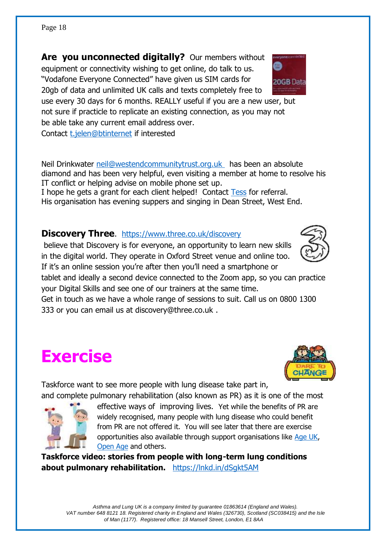**Are you unconnected digitally?** Our members without equipment or connectivity wishing to get online, do talk to us. "Vodafone Everyone Connected" have given us SIM cards for 20gb of data and unlimited UK calls and texts completely free to

use every 30 days for 6 months. REALLY useful if you are a new user, but not sure if practicle to replicate an existing connection, as you may not be able take any current email address over. Contact [t.jelen@btinternet](mailto:t.jelen@btinternet) if interested

Neil Drinkwater [neil@westendcommunitytrust.org.uk](mailto:neil@westendcommunitytrust.org.uk) has been an absolute diamond and has been very helpful, even visiting a member at home to resolve his IT conflict or helping advise on mobile phone set up.

I hope he gets a grant for each client helped! Contact [Tess](mailto:t.jelen@btinternet.com) for referral. His organisation has evening suppers and singing in Dean Street, West End.

#### **Discovery Three.** <https://www.three.co.uk/discovery>

believe that Discovery is for everyone, an opportunity to learn new skills in the digital world. They operate in Oxford Street venue and online too. If it's an online session you're after then you'll need a smartphone or

tablet and ideally a second device connected to the Zoom app, so you can practice your Digital Skills and see one of our trainers at the same time.

Get in touch as we have a whole range of sessions to suit. Call us on 0800 1300 333 or you can email us at discovery@three.co.uk .

# **Exercise**

Taskforce want to see more people with lung disease take part in, and complete pulmonary rehabilitation (also known as PR) as it is one of the most

> effective ways of improving lives. Yet while the benefits of PR are widely recognised, many people with lung disease who could benefit from PR are not offered it. You will see later that there are exercise opportunities also available through support organisations like [Age UK,](https://mailchi.mp/f499120fe929/whats-on-this-week-issue-13762277?e=98ba7594e6) [Open Age](https://mailchi.mp/openage.org.uk/open-age-programme-11324822?e=e546b8c5d3) and others.

**Taskforce video: stories from people with long-term lung conditions about pulmonary rehabilitation.** <https://lnkd.in/dSgkt5AM>







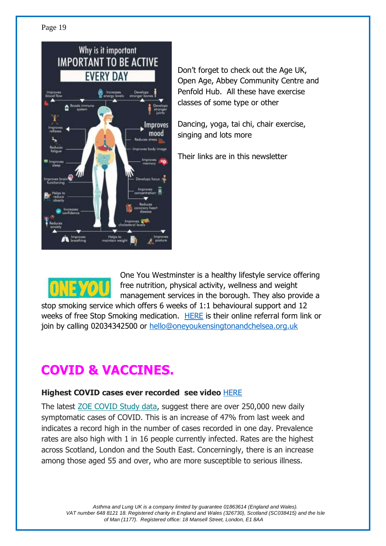

Don't forget to check out the Age UK, Open Age, Abbey Community Centre and Penfold Hub. All these have exercise classes of some type or other

Dancing, yoga, tai chi, chair exercise, singing and lots more

Their links are in this newsletter



One You Westminster is a healthy lifestyle service offering free nutrition, physical activity, wellness and weight management services in the borough. They also provide a

stop smoking service which offers 6 weeks of 1:1 behavioural support and 12 weeks of free Stop Smoking medication. [HERE](https://bit.ly/SignUptoONEYOU) is their online referral form link or join by calling 02034342500 or [hello@oneyoukensingtonandchelsea.org.uk](mailto:hello@oneyoukensingtonandchelsea.org.uk)

# **COVID & VACCINES.**

#### **Highest COVID cases ever recorded see video** [HERE](https://www.youtube.com/watch?v=j3UFRrXqqUI)

The latest [ZOE COVID Study data,](https://joinzoe.us13.list-manage.com/track/click?u=48d605e2453cb0ad3892e077d&id=9bd031c802&e=863b631d55) suggest there are over 250,000 new daily symptomatic cases of COVID. This is an increase of 47% from last week and indicates a record high in the number of cases recorded in one day. Prevalence rates are also high with 1 in 16 people currently infected. Rates are the highest across Scotland, London and the South East. Concerningly, there is an increase among those aged 55 and over, who are more susceptible to serious illness.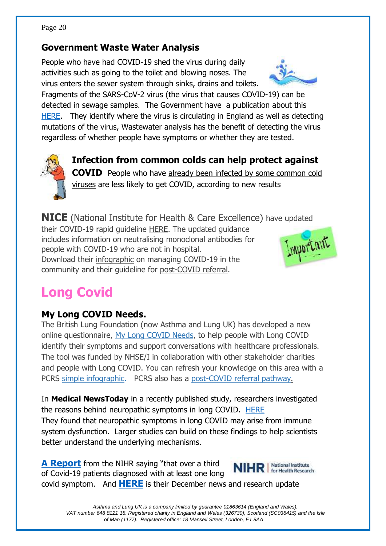#### **Government Waste Water Analysis**

People who have had COVID-19 shed the virus during daily activities such as going to the toilet and blowing noses. The virus enters the sewer system through sinks, drains and toilets.



Fragments of the SARS-CoV-2 virus (the virus that causes COVID-19) can be detected in sewage samples. The Government have a publication about this [HERE.](https://www.gov.uk/government/publications/monitoring-of-sars-cov-2-rna-in-england-wastewater-monthly-statistics-1-june-2021-to-10-january-2022/emhp-wastewater-monitoring-of-sars-cov-2-in-england-1-june-to-10-january-2022) They identify where the virus is circulating in England as well as detecting mutations of the virus, Wastewater analysis has the benefit of detecting the virus regardless of whether people have symptoms or whether they are tested.



# **Infection from common colds can help protect against**

**COVID** People who have already been infected by some common cold [viruses](https://nihr.us14.list-manage.com/track/click?u=299dc02111e8a68172029095f&id=c4368e6409&e=a3d2774674) are less likely to get COVID, according to new results

**NICE** (National Institute for Health & Care Excellence) have updated their COVID-19 rapid guideline [HERE.](https://www.pcrs-uk.org/civicrm/mailing/url?u=32973&qid=2471784) The updated guidance includes information on neutralising monoclonal antibodies for people with COVID-19 who are not in hospital. Download their [infographic](https://www.pcrs-uk.org/civicrm/mailing/url?u=32974&qid=2471784) on managing COVID-19 in the community and their guideline for [post-COVID referral.](https://www.pcrs-uk.org/civicrm/mailing/url?u=32975&qid=2471784)



# **Long Covid**

#### **My Long COVID Needs.**

The British Lung Foundation (now Asthma and Lung UK) has developed a new online questionnaire, [My Long COVID Needs,](https://www.pcrs-uk.org/civicrm/mailing/url?u=33131&qid=2481665) to help people with Long COVID identify their symptoms and support conversations with healthcare professionals. The tool was funded by NHSE/I in collaboration with other stakeholder charities and people with Long COVID. You can refresh your knowledge on this area with a PCRS [simple infographic.](https://www.pcrs-uk.org/civicrm/mailing/url?u=33132&qid=2481665) PCRS also has a [post-COVID referral pathway.](https://www.pcrs-uk.org/civicrm/mailing/url?u=33133&qid=2481665)

In **Medical NewsToday** in a recently published study, researchers investigated the reasons behind neuropathic symptoms in long COVID. [HERE](https://www.medicalnewstoday.com/articles/nerve-damage-in-long-covid-may-arise-from-immune-dysfunction) They found that neuropathic symptoms in long COVID may arise from immune system dysfunction. Larger studies can build on these findings to help scientists better understand the underlying mechanisms.

**[A Report](News:%20Over%20a%20third%20of%20COVID-19%20patients%20diagnosed%20with%20at%20least%20one%20long%20COVID%20symptom%20|%20NIHR)** from the NIHR saying "that over a third of Covid-19 patients diagnosed with at least one long

covid symptom. And **[HERE](https://mailchi.mp/ee220f6649d3/nihr-arc-west-newsletter-december?e=f0aaae7f7a)** is their December news and research update

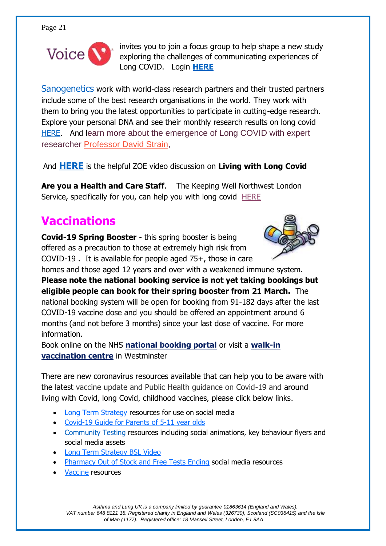

invites you to join a focus group to help shape a new study exploring the challenges of communicating experiences of Long COVID. Login **[HERE](https://www.voice-global.org/public/opportunities/the-language-of-long-covid-focus-group/?utm_source=sendgrid.com&utm_medium=email&utm_campaign=website)**

[Sanogenetics](https://sanogenetics.com/) work with world-class research partners and their trusted partners include some of the best research organisations in the world. They work with them to bring you the latest opportunities to participate in cutting-edge research. Explore your personal DNA and see their monthly research results on long covid [HERE.](https://sanogenetics.com/blog/exploring-long-covid-march-2022/) And learn more about the emergence of Long COVID with expert researcher [Professor David Strain,](https://sanogenetics.us16.list-manage.com/track/click?u=b97c210fc2c4a77b1587f7f60&id=ce4d3b76d1&e=b1deaab44b)

And **[HERE](https://mailchi.mp/4dc8e1f6d56b/thanks-for-watching-covid-vaccines-4855390?e=863b631d55)** is the helpful ZOE video discussion on **Living with Long Covid**

**Are you a Health and Care Staff**. The Keeping Well Northwest London Service, specifically for you, can help you with long covid [HERE](https://www.keepingwellnwl.nhs.uk/self-help-resources/living-long-covid-19)

# **Vaccinations**

**Covid-19 Spring Booster** - this spring booster is being offered as a precaution to those at extremely high risk from COVID-19 . It is available for people aged 75+, those in care



homes and those aged 12 years and over with a weakened immune system. **Please note the national booking service is not yet taking bookings but eligible people can book for their spring booster from 21 March.** The national booking system will be open for booking from 91-182 days after the last COVID-19 vaccine dose and you should be offered an appointment around 6 months (and not before 3 months) since your last dose of vaccine. For more information.

Book online on the NHS **[national booking portal](https://westminster.us1.list-manage.com/track/click?u=a50c8b0dd980669ef713b4cca&id=4706f69dfb&e=81dde5b4cc)** or visit a **[walk-in](https://westminster.us1.list-manage.com/track/click?u=a50c8b0dd980669ef713b4cca&id=479fd3214f&e=81dde5b4cc)  [vaccination centre](https://westminster.us1.list-manage.com/track/click?u=a50c8b0dd980669ef713b4cca&id=479fd3214f&e=81dde5b4cc)** in Westminster

There are new coronavirus resources available that can help you to be aware with the latest vaccine update and Public Health guidance on Covid-19 and around living with Covid, long Covid, childhood vaccines, please click below links.

- [Long Term Strategy](http://links.e.phepartnerships.co.uk/els/v2/yApZMRq06WCK/bnMwVkdtSlptWTlCaUtXWGdzRHcwTzFtRFJkMExZUW9Jcnd4N2xRbzZBc0owL1hDYUhpWS9pamVGSUZNR2ZQcytsQlNJdlFCOTl0Ukc5N09ZWVZpV3oxWXp0UC90OTFUdTE1YVRPcVBpWEU9S0/) resources for use on social media
- [Covid-19 Guide for Parents](http://links.e.phepartnerships.co.uk/els/v2/pNv7BY6N-zsw/bnMwVkdtSlptWTlCaUtXWGdzRHcwTzFtRFJkMExZUW9Jcnd4N2xRbzZBc0owL1hDYUhpWS9pamVGSUZNR2ZQcytsQlNJdlFCOTl0Ukc5N09ZWVZpV3oxWXp0UC90OTFUdTE1YVRPcVBpWEU9S0/) of 5-11 year olds
- [Community Testing](http://links.e.phepartnerships.co.uk/els/v2/8wazH~K9epT0/bnMwVkdtSlptWTlCaUtXWGdzRHcwTzFtRFJkMExZUW9Jcnd4N2xRbzZBc0owL1hDYUhpWS9pamVGSUZNR2ZQcytsQlNJdlFCOTl0Ukc5N09ZWVZpV3oxWXp0UC90OTFUdTE1YVRPcVBpWEU9S0/) resources including social animations, key behaviour flyers and social media assets
- [Long Term Strategy BSL Video](http://links.e.phepartnerships.co.uk/els/v2/WaDwhaPXz~sK/bnMwVkdtSlptWTlCaUtXWGdzRHcwTzFtRFJkMExZUW9Jcnd4N2xRbzZBc0owL1hDYUhpWS9pamVGSUZNR2ZQcytsQlNJdlFCOTl0Ukc5N09ZWVZpV3oxWXp0UC90OTFUdTE1YVRPcVBpWEU9S0/)
- [Pharmacy Out of Stock and Free Tests Ending](http://links.e.phepartnerships.co.uk/els/v2/3ZNeFNgWbEQe/bnMwVkdtSlptWTlCaUtXWGdzRHcwTzFtRFJkMExZUW9Jcnd4N2xRbzZBc0owL1hDYUhpWS9pamVGSUZNR2ZQcytsQlNJdlFCOTl0Ukc5N09ZWVZpV3oxWXp0UC90OTFUdTE1YVRPcVBpWEU9S0/) social media resources
- [Vaccine](http://links.e.phepartnerships.co.uk/els/v2/_4rqMD3L~wM4/bnMwVkdtSlptWTlCaUtXWGdzRHcwTzFtRFJkMExZUW9Jcnd4N2xRbzZBc0owL1hDYUhpWS9pamVGSUZNR2ZQcytsQlNJdlFCOTl0Ukc5N09ZWVZpV3oxWXp0UC90OTFUdTE1YVRPcVBpWEU9S0/) resources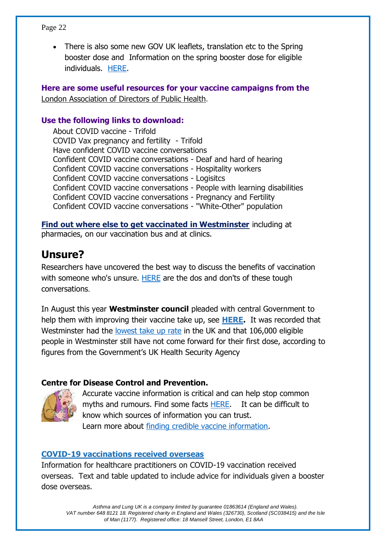• There is also some new GOV UK leaflets, translation etc to the Spring booster dose and Information on the spring booster dose for eligible individuals. [HERE.](https://www.gov.uk/government/publications/covid-19-vaccination-spring-booster-resources?utm_medium=email&utm_campaign=govuk-notifications-single-page&utm_source=16da205b-85dc-4071-bf38-f78d8708859f&utm_content=immediately#full-publication-update-history)

**Here are some useful resources for your vaccine campaigns from the**  London Association [of Directors of Public Health.](https://adph.org.uk/networks/london/)

#### **Use the following links to download:**

[About COVID vaccine -](https://mcusercontent.com/6bb34f6b7e053c819a67925bd/files/152d75ac-23aa-9a2a-8403-ce13483248fe/About_COVID_vaccine_Trifold_18_Feb_FV.pdf) Trifold [COVID Vax pregnancy and fertility](https://mcusercontent.com/6bb34f6b7e053c819a67925bd/files/f6097e5b-56a4-57ca-1d62-e8bdb5bf3c83/COVID_Vax_pregnancy_and_fertility_Trifold_17_Feb_.pdf) - Trifold [Have confident COVID vaccine conversations](https://mcusercontent.com/6bb34f6b7e053c819a67925bd/files/9c1b62fa-2ab0-01c0-bf95-61214b7837dd/Have_confident_COVID_vaccine_conversations_17_Feb_FV.pdf) [Confident COVID vaccine conversations -](https://mcusercontent.com/6bb34f6b7e053c819a67925bd/files/8ebd7296-809e-28e5-0f34-0cdc700cb250/Confident_COVID_vaccine_conversations_Deaf_and_hard_of_hearing_17_Feb_FV.pdf) Deaf and hard of hearing [Confident COVID vaccine conversations -](https://mcusercontent.com/6bb34f6b7e053c819a67925bd/files/a96abdf8-e180-955d-de2b-7cc54bc527a1/Confident_COVID_Vaccine_Conversations_Hospitality_workers_19_Feb_FV.pdf) Hospitality workers [Confident COVID vaccine conversations -](https://mcusercontent.com/6bb34f6b7e053c819a67925bd/files/32170b8f-867b-e075-9574-009d5c19810c/Confident_COVID_vaccine_conversations_Logisitcs_19_Feb_FV.pdf) Logisitcs [Confident COVID vaccine conversations -](https://mcusercontent.com/6bb34f6b7e053c819a67925bd/files/284712ab-bfaf-de0b-fda7-34e20949cbea/Confident_COVID_vaccine_conversations_people_with_learning_disabilities_17_Feb_FV.pdf) People with learning disabilities [Confident COVID vaccine conversations -](https://mcusercontent.com/6bb34f6b7e053c819a67925bd/files/dea59406-2476-8314-12a7-85b62ad7e6a3/Confident_COVID_Vaccine_Conversations_Pregnancy_and_Fertility_17_Feb_FV.pdf) Pregnancy and Fertility [Confident COVID vaccine conversations -](https://mcusercontent.com/6bb34f6b7e053c819a67925bd/files/f07ecba2-91d7-c696-14ff-43f59a6ec77b/Confident_COVID_vaccine_conversations_White_Other_population_17_Feb_FV.pdf) "White-Other" population

**[Find out where else to get vaccinated in Westminster](https://westminster.us1.list-manage.com/track/click?u=a50c8b0dd980669ef713b4cca&id=cf6434e084&e=81dde5b4cc)** including at pharmacies, on our vaccination bus and at clinics.

#### **Unsure?**

Researchers have uncovered the best way to discuss the benefits of vaccination with someone who's unsure. [HERE](https://www.bbc.com/future/article/20211209-how-to-talk-to-vaccine-hesitant-people) are the dos and don'ts of these tough conversations.

In August this year **Westminster council** pleaded with central Government to help them with improving their vaccine take up, see **[HERE.](https://www.bbc.co.uk/news/uk-england-london-58282067)** It was recorded that Westminster had the [lowest take up rate](https://inews.co.uk/news/westminster-lowest-vaccine-rate-uk-region-government-backyard-1404638) in the UK and that 106,000 eligible people in Westminster still have not come forward for their first dose, according to figures from the Government's UK Health Security Agency

#### **Centre for Disease Control and Prevention.**



Accurate vaccine information is critical and can help stop common myths and rumours. Find some facts [HERE.](https://www.cdc.gov/coronavirus/2019-ncov/vaccines/facts.html) It can be difficult to know which sources of information you can trust. Learn more about [finding credible vaccine information.](https://www.cdc.gov/vaccines/vac-gen/evalwebs.htm)

#### **[COVID-19 vaccinations received overseas](https://www.gov.uk/government/publications/covid-19-vaccinations-received-overseas?utm_medium=email&utm_campaign=govuk-notifications-topic&utm_source=37e306fe-91bf-475a-9b80-69294cb60acb&utm_content=weekly)**

Information for healthcare practitioners on COVID-19 vaccination received overseas. Text and table updated to include advice for individuals given a booster dose overseas.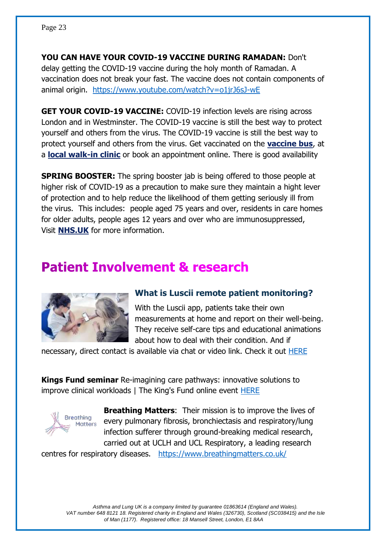**YOU CAN HAVE YOUR COVID-19 VACCINE DURING RAMADAN:** Don't delay getting the COVID-19 vaccine during the holy month of Ramadan. A vaccination does not break your fast. The vaccine does not contain components of animal origin. <https://www.youtube.com/watch?v=o1jrJ6sJ-wE>

**GET YOUR COVID-19 VACCINE:** COVID-19 infection levels are rising across London and in Westminster. The COVID-19 vaccine is still the best way to protect yourself and others from the virus. The COVID-19 vaccine is still the best way to protect yourself and others from the virus. Get vaccinated on the **[vaccine bus](https://westminster.us1.list-manage.com/track/click?u=a50c8b0dd980669ef713b4cca&id=b437628ca9&e=81dde5b4cc)**, at a **[local walk-in clinic](https://westminster.us1.list-manage.com/track/click?u=a50c8b0dd980669ef713b4cca&id=f30e7a6e02&e=81dde5b4cc)** or book an appointment online. There is good availability

**SPRING BOOSTER:** The spring booster jab is being offered to those people at higher risk of COVID-19 as a precaution to make sure they maintain a hight lever of protection and to help reduce the likelihood of them getting seriously ill from the virus. This includes: people aged 75 years and over, residents in care homes for older adults, people ages 12 years and over who are immunosuppressed, Visit **[NHS.UK](https://westminster.us1.list-manage.com/track/click?u=a50c8b0dd980669ef713b4cca&id=5697666053&e=81dde5b4cc)** for more information.

## **Patient Involvement & research**



#### **What is Luscii remote patient monitoring?**

With the Luscii app, patients take their own measurements at home and report on their well-being. They receive self-care tips and educational animations about how to deal with their condition. And if

necessary, direct contact is available via chat or video link. Check it out [HERE](https://luscii.com/)

**Kings Fund seminar** Re-imagining care pathways: innovative solutions to improve clinical workloads | The King's Fund online event [HERE](https://youtu.be/cNXkWVHtqOM)



**Breathing Matters**: Their mission is to improve the lives of every pulmonary fibrosis, bronchiectasis and respiratory/lung infection sufferer through ground-breaking medical research, carried out at UCLH and UCL Respiratory, a leading research

centres for respiratory diseases. <https://www.breathingmatters.co.uk/>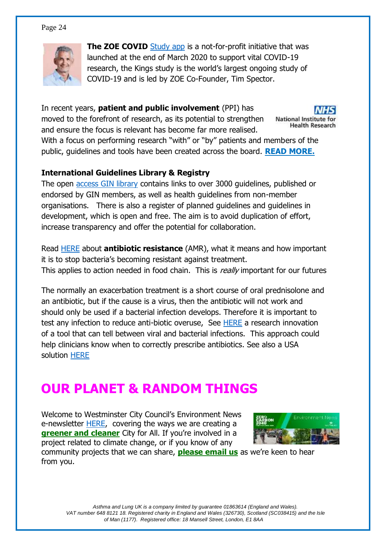

**The ZOE COVID** [Study app](https://covid.joinzoe.com/) is a not-for-profit initiative that was launched at the end of March 2020 to support vital COVID-19 research, the Kings study is the world's largest ongoing study of COVID-19 and is led by ZOE Co-Founder, Tim Spector.

In recent years, **patient and public involvement** (PPI) has moved to the forefront of research, as its potential to strengthen **National Institute for Health Research** and ensure the focus is relevant has become far more realised. With a focus on performing research "with" or "by" patients and members of the public, guidelines and tools have been created across the board. **[READ MORE.](https://nihr.us16.list-manage.com/track/click?u=8ac56a9ec9c9392935f5ffd3f&id=dc56976e6e&e=480f63b037)**

#### **International Guidelines Library & Registry**

The open [access GIN library](https://g-i-n.net/) contains links to over 3000 guidelines, published or endorsed by GIN members, as well as health guidelines from non-member organisations. There is also a register of planned guidelines and guidelines in development, which is open and free. The aim is to avoid duplication of effort, increase transparency and offer the potential for collaboration.

Read [HERE](https://www.nhs.uk/conditions/antibiotics/antibiotic-antimicrobial-resistance/) about **antibiotic resistance** (AMR), what it means and how important it is to stop bacteria's becoming resistant against treatment. This applies to action needed in food chain. This is really important for our futures

The normally an exacerbation treatment is a short course of oral prednisolone and an antibiotic, but if the cause is a virus, then the antibiotic will not work and should only be used if a bacterial infection develops. Therefore it is important to test any infection to reduce anti-biotic overuse, See [HERE](https://ec.europa.eu/research-and-innovation/en/horizon-magazine/virus-or-bacteria-soon-test-could-tell-you) a research innovation of a tool that can tell between viral and bacterial infections. This approach could help clinicians know when to correctly prescribe antibiotics. See also a USA solution [HERE](https://corporate.dukehealth.org/news/testing-tool-can-quickly-distinguish-between-viral-and-bacterial-infections)

# **OUR PLANET & RANDOM THINGS**

Welcome to Westminster City Council's Environment News e-newsletter **HERE**, covering the ways we are creating a **[greener and cleaner](https://westminster.us1.list-manage.com/track/click?u=a50c8b0dd980669ef713b4cca&id=bf49abbee6&e=81dde5b4cc)** City for All. If you're involved in a project related to climate change, or if you know of any



community projects that we can share, **[please email us](mailto:climateemergency@westminster.gov.uk)** as we're keen to hear from you.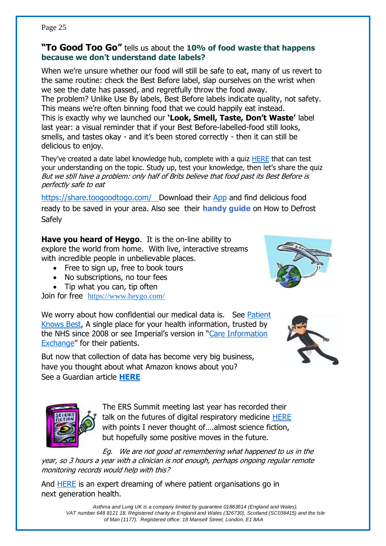#### **"To Good Too Go"** tells us about the **10% of food waste that happens because we don't understand date labels?**

When we're unsure whether our food will still be safe to eat, many of us revert to the same routine: check the Best Before label, slap ourselves on the wrist when we see the date has passed, and regretfully throw the food away. The problem? Unlike Use By labels, Best Before labels indicate quality, not safety. This means we're often binning food that we could happily eat instead. This is exactly why we launched our **'Look, Smell, Taste, Don't Waste'** label last year: a visual reminder that if your Best Before-labelled-food still looks, smells, and tastes okay - and it's been stored correctly - then it can still be delicious to enjoy.

They've created a date label knowledge hub, complete with a quiz **HERE** that can test your understanding on the topic. Study up, test your knowledge, then let's share the quiz But we still have a problem: only half of Brits believe that food past its Best Before is perfectly safe to eat

<https://share.toogoodtogo.com/>Download their [App](https://play.google.com/store/apps/details?id=com.app.tgtg) and find delicious food ready to be saved in your area. Also see their **handy guide** [on How to Defrost](https://lovefoodhatewaste.us1.list-manage.com/track/click?u=65343110dd35be920e719fccd&id=0b7882c6bc&e=11d0f3d91d)  **[Safely](https://lovefoodhatewaste.us1.list-manage.com/track/click?u=65343110dd35be920e719fccd&id=0b7882c6bc&e=11d0f3d91d)** 

**Have you heard of Heygo**. It is the on-line ability to explore the world from home. With live, interactive streams with incredible people in unbelievable places.

- Free to sign up, free to book tours
- No subscriptions, no tour fees
- Tip what you can, tip often

Join for free <https://www.heygo.com/>

We worry about how confidential our medical data is. See Patient [Knows Best,](https://patientsknowbest.com/) A single place for your health information, trusted by the NHS since 2008 or see Imperial's version in "[Care Information](https://www.careinformationexchange-nwl.nhs.uk/)  [Exchange](https://www.careinformationexchange-nwl.nhs.uk/)" for their patients.

But now that collection of data has become very big business, have you thought about what Amazon knows about you? See a Guardian article **[HERE](https://www.theguardian.com/technology/2022/feb/27/the-data-game-what-amazon-knows-about-you-and-how-to-stop-it?utm_term=621c56d35afeb8904c462cc499c4e174&utm_campaign=GuardianTodayUK&utm_source=esp&utm_medium=Email&CMP=GTUK_email)**





The ERS Summit meeting last year has recorded their talk on the futures of digital respiratory medicine [HERE](Where%20are%20we%20now?%20Learning%20from%20the%20ERS%20Presidential%20Summit%202021%20on%20digital%20respiratory%20medicine%20-%20YouTube) with points I never thought of....almost science fiction, but hopefully some positive moves in the future.

Eg. We are not good at remembering what happened to us in the year, so 3 hours a year with a clinician is not enough, perhaps ongoing regular remote monitoring records would help with this?

And [HERE](How%20can%20patient%20organisations%20play%20an%20active%20role%20in%20next%20generation%20health%20and%20research?%20-%20YouTube) is an expert dreaming of where patient organisations go in next generation health.

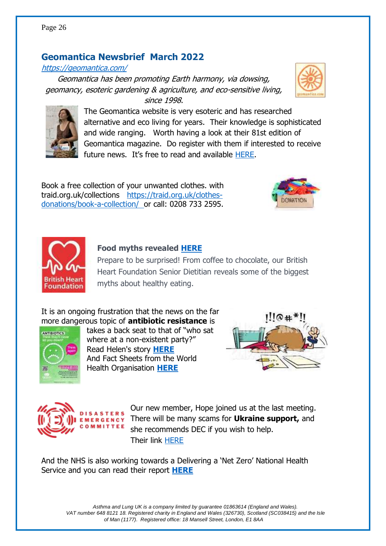#### **Geomantica Newsbrief March 2022**

#### <https://geomantica.com/>

Geomantica has been promoting Earth harmony, via dowsing, geomancy, esoteric gardening & agriculture, and eco-sensitive living, since 1998.

> The Geomantica website is very esoteric and has researched alternative and eco living for years. Their knowledge is sophisticated and wide ranging. Worth having a look at their 81st edition of Geomantica magazine. Do register with them if interested to receive future news. It's free to read and available [HERE.](https://geomantica.com/current-magazine/)

Book a free collection of your unwanted clothes. with traid.org.uk/collections [https://traid.org.uk/clothes](https://traid.org.uk/clothes-donations/book-a-collection/)[donations/book-a-collection/](https://traid.org.uk/clothes-donations/book-a-collection/) or call: 0208 733 2595.

#### **Food myths revealed [HERE](https://comms.bhf.org.uk/4P3Q-19KR1-CB98A3832AC7DF634KZI4M4F2381AFB0E30D0F/cr.aspx?v=2)**

Prepare to be surprised! From coffee to chocolate, our British Heart Foundation Senior Dietitian reveals some of the biggest myths about healthy eating.

It is an ongoing frustration that the news on the far more dangerous topic of **antibiotic resistance** is

> **EMERGENCY** OMMITTEE

takes a back seat to that of "who sat where at a non-existent party?" Read Helen's story **[HERE](https://youtu.be/Nd53xd6acmQ)** And Fact Sheets from the World Health Organisation **[HERE](https://www.who.int/news-room/fact-sheets/detail/antimicrobial-resistance)**

> Our new member, Hope joined us at the last meeting. There will be many scams for **Ukraine support,** and she recommends DEC if you wish to help. Their link [HERE](https://www.dec.org.uk/?gclid=CjwKCAjwxOCRBhA8EiwA0X8hi-HIxnA8OP0lvL6L5GoW5ZWPzQDwH8KAfyjSzGX1YUqv9HWSTJvjvRoCwwwQAvD_BwE)

And the NHS is also working towards a Delivering a 'Net Zero' National Health Service and you can read their report **[HERE](https://www.england.nhs.uk/greenernhs/wp-content/uploads/sites/51/2020/10/delivering-a-net-zero-national-health-service.pdf)**



ANTIBIOTICS





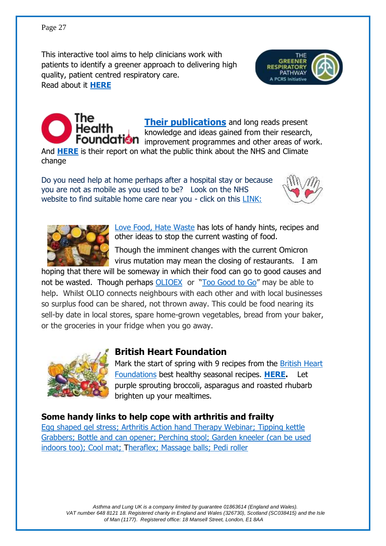This interactive tool aims to help clinicians work with patients to identify a greener approach to delivering high quality, patient centred respiratory care. Read about it **[HERE](file:///C:/Users/Owner/Documents/Rehab%20&%20breatheasy/CHIMP%20newsletters/The%20Greener%20Respiratory%20Pathway:%20A%20PCRS%20Initiative%20|%20Primary%20Care%20Respiratory%20Society%20(pcrs-uk.org))**





**[Their publications](http://www.health.org.uk/publications)** and long reads present knowledge and ideas gained from their research, Foundation improvement programmes and other areas of work.

And **[HERE](file:///C:/Users/Owner/Documents/Rehab%20&%20breatheasy/CHIMP%20newsletters/Going%20green:%20what%20do%20the%20public%20think%20about%20the%20NHS%20and%20climate%20change%3f%20-%20The%20Health%20Foundation)** is their report on what the public think about the NHS and Climate change

Do you need help at home perhaps after a hospital stay or because you are not as mobile as you used to be? Look on the NHS website to find suitable home care near you - click on this **LINK:** 





[Love Food, Hate Waste](file:///C:/Users/Owner/Documents/Rehab%20&%20breatheasy/CHIMP%20newsletters/Love%20Food%20Hate%20Waste) has lots of handy hints, recipes and other ideas to stop the current wasting of food.

Though the imminent changes with the current Omicron virus mutation may mean the closing of restaurants. I am

hoping that there will be someway in which their food can go to good causes and not be wasted. Though perhaps [OLIOEX](https://olioex.com/) or "[Too Good to Go](https://toogoodtogo.co.uk/en-gb)" may be able to help. Whilst OLIO connects neighbours with each other and with local businesses so surplus food can be shared, not thrown away. This could be food nearing its sell-by date in local stores, spare home-grown vegetables, bread from your baker, or the groceries in your fridge when you go away.



#### **British Heart Foundation**

Mark the start of spring with 9 recipes from the [British Heart](https://comms.bhf.org.uk/4P3Q-19UGA-CB98A3832AC7DF634KZI4M4F2381AFB0E30D0F/cr.aspx?v=1)  [Foundations](https://comms.bhf.org.uk/4P3Q-19UGA-CB98A3832AC7DF634KZI4M4F2381AFB0E30D0F/cr.aspx?v=1) best healthy seasonal recipes. **[HERE.](https://www.bhf.org.uk/informationsupport/heart-matters-magazine/nutrition/healthy-spring-recipes-to-try?utm_campaign=2138986_HeartMatters_enewsletter_HCP_Mar2022_2&utm_medium=email&utm_source=British%20Heart%20Foundation%20%28BHF%29%20&mi_u=8-21524889)** Let purple sprouting broccoli, asparagus and roasted rhubarb brighten up your mealtimes.

#### **Some handy links to help cope with arthritis and frailty**

[Egg shaped gel stress;](https://www.amazon.co.uk/SourceTon-Egg-Shape-Strengthening-Rehabilitation-Strengthener/dp/B075864NJR/ref=asc_df_B075864NJR/?tag=googshopuk-21&linkCode=df0&hvadid=309800883790&hvpos=&hvnetw=g&hvrand=59625160294383953&hvpone=&hvptwo=&hvqmt=&hvdev=c&hvdvcmdl=&hvlocint=&hvlocphy=9045880&hvtargid=pla-392278516728&psc=1%20ball) [Arthritis Action hand Therapy Webinar;](https://www.arthritisaction.org.uk/living-with-arthritis/resource-centre/webinars/#:~:text=Arthritis%20Action%20hosts%20a%20series,directly%20ask%20their%20questions%20online.) [Tipping kettle](https://www.completecareshop.co.uk/kitchen-aids/kitchen-aids-and-gadgets/kettle-tippers?gclid=CjwKCAjwlcaRBhBYEiwAK341je4rfxLWTNbEBQREalMQwRjAf_vERXSvvLqagNnXdCKRrJKjDsLGAxoCi4MQAvD_BwE) [Grabbers;](https://www.completecareshop.co.uk/daily-living-aids/reaching-aids/handi-grip-reacher-810mm?sku=Q15620&gclid=CjwKCAjwlcaRBhBYEiwAK341jWCVDd3uj4hcMgD_voCfCpHj2ItOkyim5MUU6RC9u5sOez3kexypmxoCEa4QAvD_BwE) [Bottle and can opener;](https://www.completecareshop.co.uk/kitchen-aids/kitchen-aids-and-gadgets/bottle-jar-openers/bottle-multi-opener?sku=M66492&gclid=CjwKCAjwlcaRBhBYEiwAK341jQGwgQBuqiITNIys8wkIOslZ332GOywMXuhuxD5LpnWo8qhQMnt6KhoC9hcQAvD_BwE) [Perching stool;](https://www.completecareshop.co.uk/bathroom-aids/shower-chairs-seats-and-stools/perching-stools/perching-stool-with-back-and-arms?sku=Q04853&gclid=CjwKCAjwlcaRBhBYEiwAK341jXL5O3J4_R1vGB69SgX5_eFc5AJte2BuTzugLeKnO-CLm0gGqlgcwBoC9rwQAvD_BwE) [Garden kneeler \(can be used](https://www.completecareshop.co.uk/daily-living-aids/gardening-aids/garden-kneeler?sku=M10229&gclid=CjwKCAjwlcaRBhBYEiwAK341jfzd2zwTSdSdeDVOiOAKiSllwvRXF7jqoIruU_PlsJHkbMF-IM7EExoCQ44QAvD_BwE)  [indoors too\);](https://www.completecareshop.co.uk/daily-living-aids/gardening-aids/garden-kneeler?sku=M10229&gclid=CjwKCAjwlcaRBhBYEiwAK341jfzd2zwTSdSdeDVOiOAKiSllwvRXF7jqoIruU_PlsJHkbMF-IM7EExoCQ44QAvD_BwE) [Cool mat;](https://www.amazon.co.uk/LIVIVO-Cooling-Pillow-Absorbs-Dissipates/dp/B0898N6YMS/ref=sr_1_3_sspa?keywords=Cool+Pads+for+Bed&qid=1647420934&sr=8-3-spons&psc=1&smid=A2GBB48Z2CXWJI&spLa=ZW5jcnlwdGVkUXVhbGlmaWVyPUEyOEc1WUExRjBUVllIJmVuY3J5cHRlZElkPUEwOTQyNzc5M1BLUTdaOVlXS0RQMiZlbmNyeXB0ZWRBZElkPUEwNjQ4MjcyNFQ5UTk4TjNDQVRUJndpZGdldE5hbWU9c3BfYXRmJmFjdGlvbj1jbGlja1JlZGlyZWN0JmRvTm90TG9nQ2xpY2s9dHJ1ZQ==) [Theraflex;](https://www.amazon.co.uk/TheraFlex-Reusable-Cold-Hot-Pack/dp/B005GJTHOA/ref=asc_df_B005GJTHOA/?tag=googshopuk-21&linkCode=df0&hvadid=309940318982&hvpos=&hvnetw=g&hvrand=660615422822866486&hvpone=&hvptwo=&hvqmt=&hvdev=c&hvdvcmdl=&hvlocint=&hvlocphy=1006886&hvtargid=pla-761744751766&psc=1&th=1&psc=1) [Massage balls;](https://www.physiosupplies.co.uk/66fit-spiky-massage-ball-x-10cm/?sku=BP-GY-1001&gclid=CjwKCAjwlcaRBhBYEiwAK341jR8yDubsNwSOiHoRuhQpQtIvoBg2IOiTxBVjD6tnK7zM0QP_r8UsJRoCjlcQAvD_BwE) [Pedi roller](https://www.feetlife.co.uk/Carnation-Pediroller?gclid=CjwKCAjwlcaRBhBYEiwAK341jbdN4R3sn1zAXG4CSFgGgGf4FaxfyC7H_dYEzB6TwoxEGjadwoOrBhoCxskQAvD_BwE)